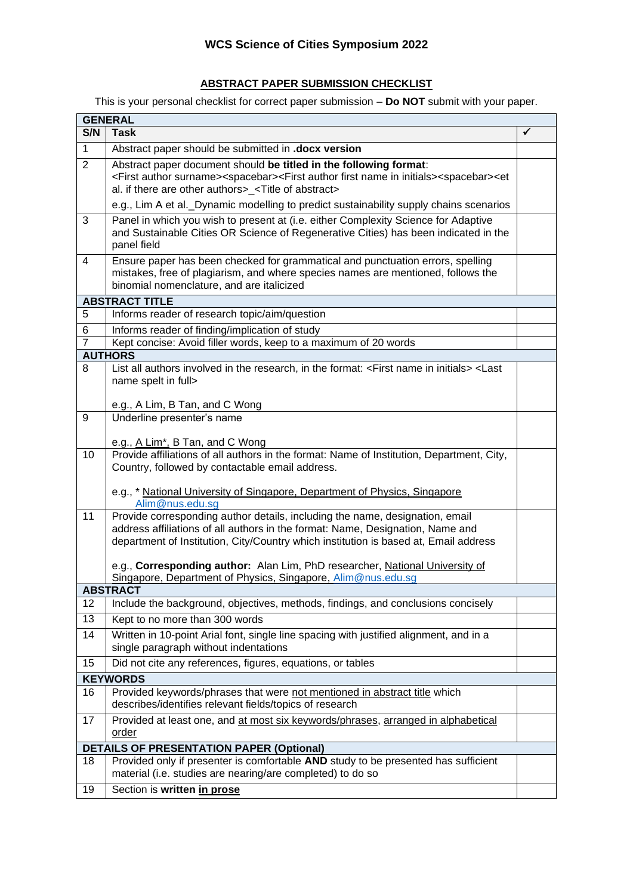## **ABSTRACT PAPER SUBMISSION CHECKLIST**

This is your personal checklist for correct paper submission – **Do NOT** submit with your paper.

| S/N<br><b>Task</b><br>$\mathbf{1}$<br>Abstract paper should be submitted in .docx version                                                                                                                                                                                                                            | ✓ |  |
|----------------------------------------------------------------------------------------------------------------------------------------------------------------------------------------------------------------------------------------------------------------------------------------------------------------------|---|--|
|                                                                                                                                                                                                                                                                                                                      |   |  |
|                                                                                                                                                                                                                                                                                                                      |   |  |
| $\overline{2}$<br>Abstract paper document should be titled in the following format:<br><first author="" surname=""><spacebar><first author="" first="" in="" initials="" name=""><spacebar><et<br>al. if there are other authors&gt;_<title abstract="" of=""></title></et<br></spacebar></first></spacebar></first> |   |  |
| e.g., Lim A et al. Dynamic modelling to predict sustainability supply chains scenarios                                                                                                                                                                                                                               |   |  |
| 3<br>Panel in which you wish to present at (i.e. either Complexity Science for Adaptive<br>and Sustainable Cities OR Science of Regenerative Cities) has been indicated in the<br>panel field                                                                                                                        |   |  |
| 4<br>Ensure paper has been checked for grammatical and punctuation errors, spelling<br>mistakes, free of plagiarism, and where species names are mentioned, follows the<br>binomial nomenclature, and are italicized                                                                                                 |   |  |
| <b>ABSTRACT TITLE</b>                                                                                                                                                                                                                                                                                                |   |  |
| 5<br>Informs reader of research topic/aim/question                                                                                                                                                                                                                                                                   |   |  |
| 6<br>Informs reader of finding/implication of study                                                                                                                                                                                                                                                                  |   |  |
| $\overline{7}$<br>Kept concise: Avoid filler words, keep to a maximum of 20 words                                                                                                                                                                                                                                    |   |  |
| <b>AUTHORS</b>                                                                                                                                                                                                                                                                                                       |   |  |
| List all authors involved in the research, in the format: <first in="" initials="" name=""> <last<br>8<br/>name spelt in full&gt;</last<br></first>                                                                                                                                                                  |   |  |
| e.g., A Lim, B Tan, and C Wong                                                                                                                                                                                                                                                                                       |   |  |
| Underline presenter's name<br>9                                                                                                                                                                                                                                                                                      |   |  |
| e.g., A Lim <sup>*</sup> , B Tan, and C Wong                                                                                                                                                                                                                                                                         |   |  |
| 10<br>Provide affiliations of all authors in the format: Name of Institution, Department, City,<br>Country, followed by contactable email address.                                                                                                                                                                   |   |  |
| e.g., * National University of Singapore, Department of Physics, Singapore<br>Alim@nus.edu.sg                                                                                                                                                                                                                        |   |  |
| Provide corresponding author details, including the name, designation, email<br>11<br>address affiliations of all authors in the format: Name, Designation, Name and<br>department of Institution, City/Country which institution is based at, Email address                                                         |   |  |
| e.g., Corresponding author: Alan Lim, PhD researcher, National University of<br>Singapore, Department of Physics, Singapore, Alim@nus.edu.sg                                                                                                                                                                         |   |  |
| ABSTRACT                                                                                                                                                                                                                                                                                                             |   |  |
| Include the background, objectives, methods, findings, and conclusions concisely<br>12                                                                                                                                                                                                                               |   |  |
| 13<br>Kept to no more than 300 words                                                                                                                                                                                                                                                                                 |   |  |
| Written in 10-point Arial font, single line spacing with justified alignment, and in a<br>14<br>single paragraph without indentations                                                                                                                                                                                |   |  |
| Did not cite any references, figures, equations, or tables<br>15                                                                                                                                                                                                                                                     |   |  |
| <b>KEYWORDS</b>                                                                                                                                                                                                                                                                                                      |   |  |
| Provided keywords/phrases that were not mentioned in abstract title which<br>16<br>describes/identifies relevant fields/topics of research                                                                                                                                                                           |   |  |
| Provided at least one, and at most six keywords/phrases, arranged in alphabetical<br>17<br>order                                                                                                                                                                                                                     |   |  |
| <b>DETAILS OF PRESENTATION PAPER (Optional)</b>                                                                                                                                                                                                                                                                      |   |  |
| Provided only if presenter is comfortable AND study to be presented has sufficient<br>18<br>material (i.e. studies are nearing/are completed) to do so                                                                                                                                                               |   |  |
| Section is written in prose<br>19                                                                                                                                                                                                                                                                                    |   |  |